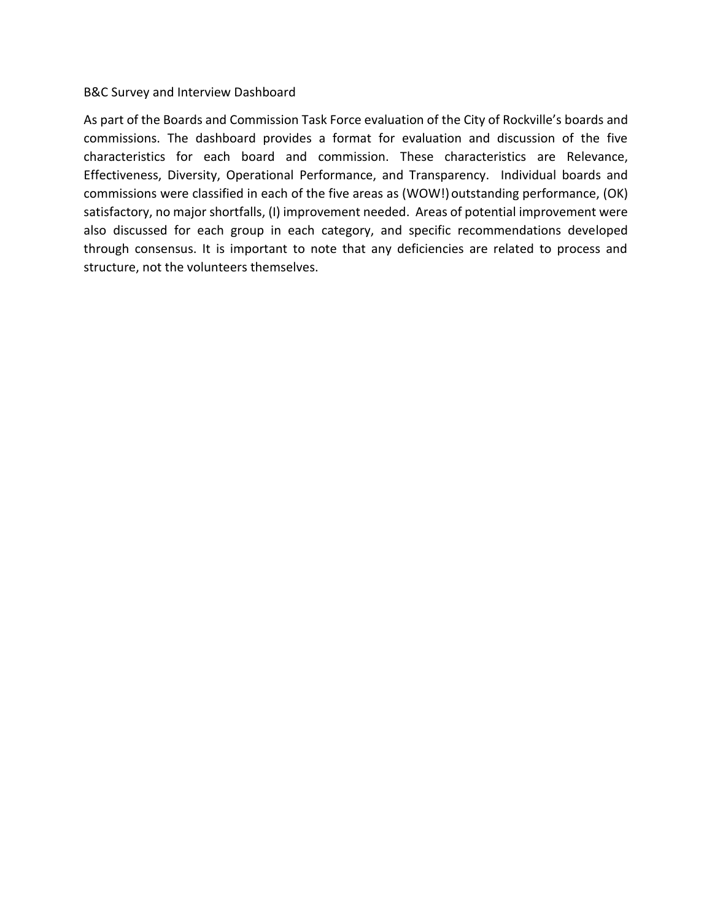# B&C Survey and Interview Dashboard

As part of the Boards and Commission Task Force evaluation of the City of Rockville's boards and commissions. The dashboard provides a format for evaluation and discussion of the five characteristics for each board and commission. These characteristics are Relevance, Effectiveness, Diversity, Operational Performance, and Transparency. Individual boards and commissions were classified in each of the five areas as (WOW!) outstanding performance, (OK) satisfactory, no major shortfalls, (I) improvement needed. Areas of potential improvement were also discussed for each group in each category, and specific recommendations developed through consensus. It is important to note that any deficiencies are related to process and structure, not the volunteers themselves.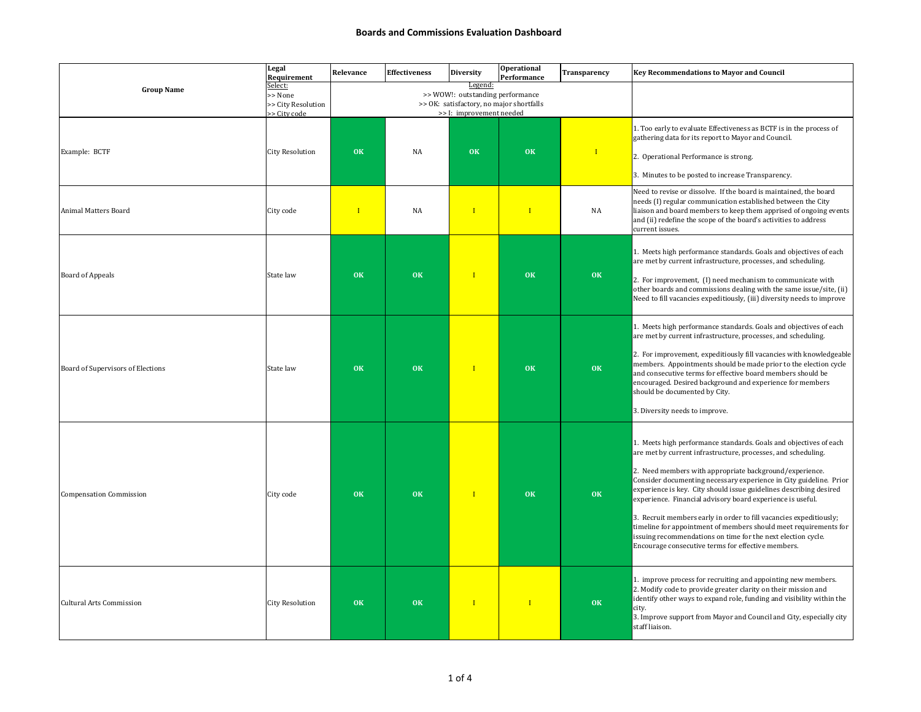|                                   | Legal<br>Requirement                                     | Relevance                                                                                                           | <b>Effectiveness</b> | <b>Diversity</b> | <b>Operational</b><br>Performance | Transparency | <b>Key Recommendations to Mayor and Council</b>                                                                                                                                                                                                                                                                                                                                                                                                                                                                                                                                                                                                                         |
|-----------------------------------|----------------------------------------------------------|---------------------------------------------------------------------------------------------------------------------|----------------------|------------------|-----------------------------------|--------------|-------------------------------------------------------------------------------------------------------------------------------------------------------------------------------------------------------------------------------------------------------------------------------------------------------------------------------------------------------------------------------------------------------------------------------------------------------------------------------------------------------------------------------------------------------------------------------------------------------------------------------------------------------------------------|
| <b>Group Name</b>                 | Select:<br>>> None<br>>> City Resolution<br>>> City code | Legend:<br>>> WOW!: outstanding performance<br>>> OK: satisfactory, no major shortfalls<br>>> I: improvement needed |                      |                  |                                   |              |                                                                                                                                                                                                                                                                                                                                                                                                                                                                                                                                                                                                                                                                         |
| Example: BCTF                     | City Resolution                                          | OK                                                                                                                  | <b>NA</b>            | OK               | OK                                | $\mathbf{I}$ | 1. Too early to evaluate Effectiveness as BCTF is in the process of<br>gathering data for its report to Mayor and Council.<br>2. Operational Performance is strong.<br>3. Minutes to be posted to increase Transparency.                                                                                                                                                                                                                                                                                                                                                                                                                                                |
| Animal Matters Board              | City code                                                | $\mathbf{I}$                                                                                                        | <b>NA</b>            | $\mathbf{I}$     | $\mathbf{I}$                      | NA           | Need to revise or dissolve. If the board is maintained, the board<br>needs (I) regular communication established between the City<br>liaison and board members to keep them apprised of ongoing events<br>and (ii) redefine the scope of the board's activities to address<br>current issues.                                                                                                                                                                                                                                                                                                                                                                           |
| <b>Board of Appeals</b>           | State law                                                | OK                                                                                                                  | OK                   | $\mathbf I$      | OK                                | OK           | 1. Meets high performance standards. Goals and objectives of each<br>are met by current infrastructure, processes, and scheduling.<br>2. For improvement, (I) need mechanism to communicate with<br>other boards and commissions dealing with the same issue/site, (ii)<br>Need to fill vacancies expeditiously, (iii) diversity needs to improve                                                                                                                                                                                                                                                                                                                       |
| Board of Supervisors of Elections | State law                                                | OK                                                                                                                  | OK                   | $\mathbf{I}$     | OK                                | OK           | 1. Meets high performance standards. Goals and objectives of each<br>are met by current infrastructure, processes, and scheduling.<br>2. For improvement, expeditiously fill vacancies with knowledgeable<br>members. Appointments should be made prior to the election cycle<br>and consecutive terms for effective board members should be<br>encouraged. Desired background and experience for members<br>should be documented by City.<br>3. Diversity needs to improve.                                                                                                                                                                                            |
| <b>Compensation Commission</b>    | City code                                                | <b>OK</b>                                                                                                           | OK                   | $\mathbf{I}$     | <b>OK</b>                         | <b>OK</b>    | 1. Meets high performance standards. Goals and objectives of each<br>are met by current infrastructure, processes, and scheduling.<br>2. Need members with appropriate background/experience.<br>Consider documenting necessary experience in City guideline. Prior<br>experience is key. City should issue guidelines describing desired<br>experience. Financial advisory board experience is useful.<br>3. Recruit members early in order to fill vacancies expeditiously;<br>timeline for appointment of members should meet requirements for<br>issuing recommendations on time for the next election cycle.<br>Encourage consecutive terms for effective members. |
| <b>Cultural Arts Commission</b>   | City Resolution                                          | OK                                                                                                                  | <b>OK</b>            | $\mathbf{I}$     | $\blacksquare$                    | OK           | 1. improve process for recruiting and appointing new members.<br>2. Modify code to provide greater clarity on their mission and<br>identify other ways to expand role, funding and visibility within the<br>city.<br>3. Improve support from Mayor and Council and City, especially city<br>staff liaison.                                                                                                                                                                                                                                                                                                                                                              |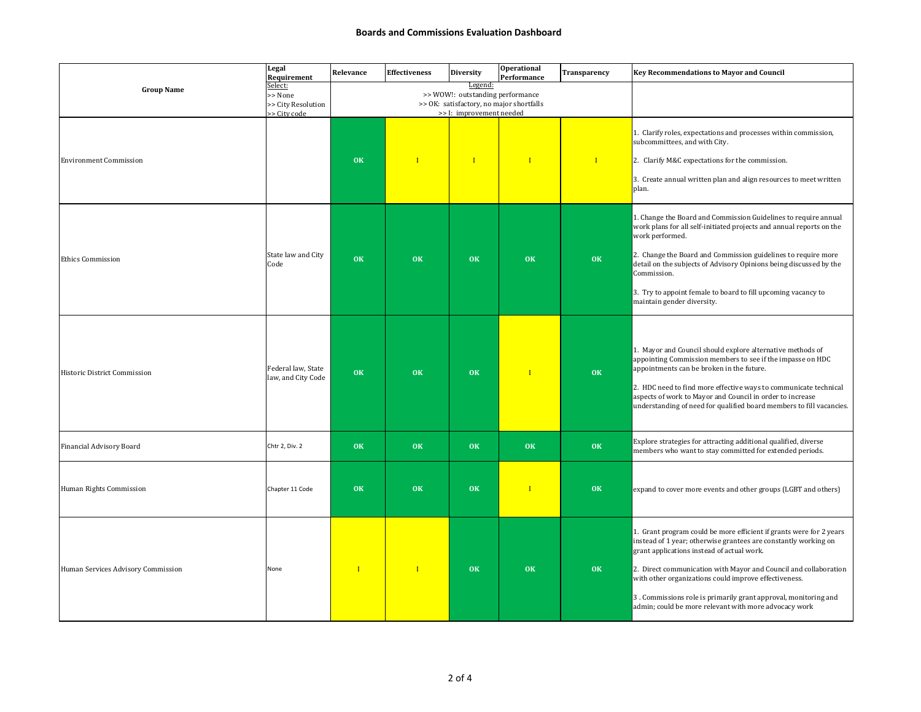|                                    | Legal<br>Requirement                                     | Relevance | <b>Effectiveness</b> | <b>Diversity</b>                                                                                                    | <b>Operational</b><br>Performance | Transparency | Key Recommendations to Mayor and Council                                                                                                                                                                                                                                                                                                                                                                                                      |
|------------------------------------|----------------------------------------------------------|-----------|----------------------|---------------------------------------------------------------------------------------------------------------------|-----------------------------------|--------------|-----------------------------------------------------------------------------------------------------------------------------------------------------------------------------------------------------------------------------------------------------------------------------------------------------------------------------------------------------------------------------------------------------------------------------------------------|
| <b>Group Name</b>                  | Select:<br>>> None<br>>> City Resolution<br>>> City code |           |                      | Legend:<br>>> WOW!: outstanding performance<br>>> OK: satisfactory, no major shortfalls<br>>> I: improvement needed |                                   |              |                                                                                                                                                                                                                                                                                                                                                                                                                                               |
| <b>Environment Commission</b>      |                                                          | OK        | $\mathbf{I}$         | $\mathbf{I}$                                                                                                        | $\mathbf{I}$                      | $\mathbf{I}$ | 1. Clarify roles, expectations and processes within commission,<br>subcommittees, and with City.<br>2. Clarify M&C expectations for the commission.<br>3. Create annual written plan and align resources to meet written<br>plan.                                                                                                                                                                                                             |
| <b>Ethics Commission</b>           | State law and City<br>Code                               | OK        | OK                   | <b>OK</b>                                                                                                           | <b>OK</b>                         | OK           | 1. Change the Board and Commission Guidelines to require annual<br>work plans for all self-initiated projects and annual reports on the<br>work performed.<br>2. Change the Board and Commission guidelines to require more<br>detail on the subjects of Advisory Opinions being discussed by the<br>Commission.<br>3. Try to appoint female to board to fill upcoming vacancy to<br>maintain gender diversity.                               |
| Historic District Commission       | Federal law, State<br>law, and City Code                 | OK        | OK                   | OK                                                                                                                  | Т                                 | OK           | 1. Mayor and Council should explore alternative methods of<br>appointing Commission members to see if the impasse on HDC<br>appointments can be broken in the future.<br>2. HDC need to find more effective ways to communicate technical<br>aspects of work to Mayor and Council in order to increase<br>understanding of need for qualified board members to fill vacancies.                                                                |
| Financial Advisory Board           | Chtr 2, Div. 2                                           | OK        | OK                   | OK                                                                                                                  | OK                                | OK           | Explore strategies for attracting additional qualified, diverse<br>members who want to stay committed for extended periods.                                                                                                                                                                                                                                                                                                                   |
| Human Rights Commission            | Chapter 11 Code                                          | OK        | OK                   | OK                                                                                                                  | $\mathbf{I}$                      | OK           | expand to cover more events and other groups (LGBT and others)                                                                                                                                                                                                                                                                                                                                                                                |
| Human Services Advisory Commission | None                                                     |           | $\mathbf{I}$         | OK                                                                                                                  | OK                                | OK           | 1. Grant program could be more efficient if grants were for 2 years<br>instead of 1 year; otherwise grantees are constantly working on<br>grant applications instead of actual work.<br>2. Direct communication with Mayor and Council and collaboration<br>with other organizations could improve effectiveness.<br>3. Commissions role is primarily grant approval, monitoring and<br>admin; could be more relevant with more advocacy work |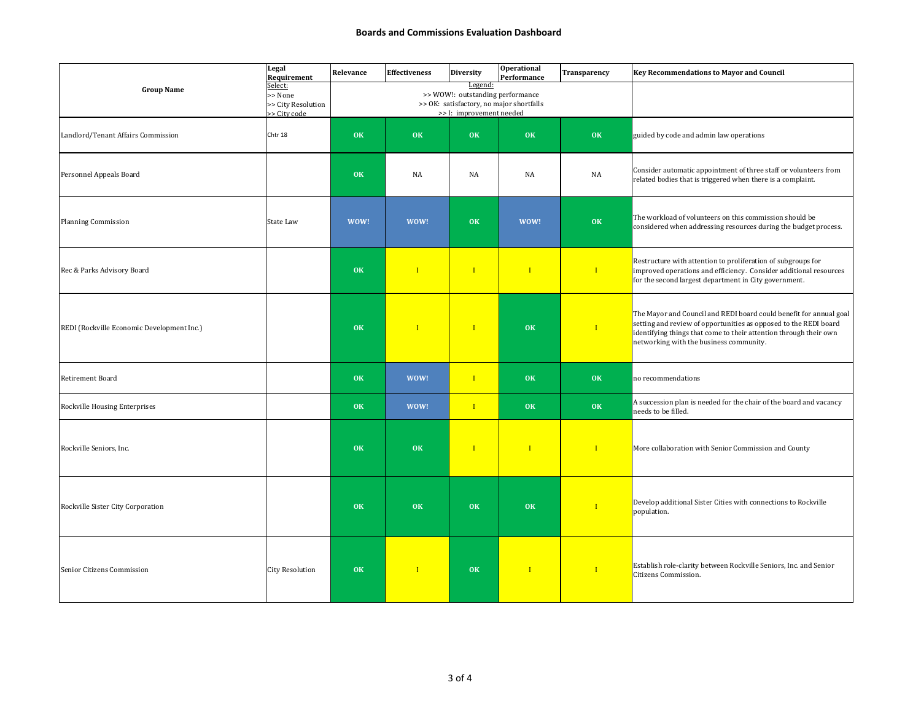|                                                                                                                                                                                                      | Legal<br>Requirement | Relevance | Effectiveness | <b>Diversity</b> | <b>Operational</b><br>Performance | Transparency | <b>Key Recommendations to Mayor and Council</b>                                                                                                                                                                                                        |
|------------------------------------------------------------------------------------------------------------------------------------------------------------------------------------------------------|----------------------|-----------|---------------|------------------|-----------------------------------|--------------|--------------------------------------------------------------------------------------------------------------------------------------------------------------------------------------------------------------------------------------------------------|
| Legend:<br>Select:<br><b>Group Name</b><br>>> WOW!: outstanding performance<br>>> None<br>>> OK: satisfactory, no major shortfalls<br>>> City Resolution<br>>> I: improvement needed<br>>> City code |                      |           |               |                  |                                   |              |                                                                                                                                                                                                                                                        |
| Landlord/Tenant Affairs Commission                                                                                                                                                                   | Chtr 18              | OK        | OK            | OK               | OK                                | OK           | guided by code and admin law operations                                                                                                                                                                                                                |
| Personnel Appeals Board                                                                                                                                                                              |                      | OK        | NA            | NA               | NA                                | NA           | Consider automatic appointment of three staff or volunteers from<br>related bodies that is triggered when there is a complaint.                                                                                                                        |
| <b>Planning Commission</b>                                                                                                                                                                           | State Law            | WOW!      | WOW!          | OK               | WOW!                              | OK           | The workload of volunteers on this commission should be<br>considered when addressing resources during the budget process.                                                                                                                             |
| Rec & Parks Advisory Board                                                                                                                                                                           |                      | OK        | $\mathbf{I}$  | $\mathbf{I}$     | $\mathbf{I}$                      | $\mathbf{I}$ | Restructure with attention to proliferation of subgroups for<br>improved operations and efficiency. Consider additional resources<br>for the second largest department in City government.                                                             |
| REDI (Rockville Economic Development Inc.)                                                                                                                                                           |                      | OK        | $\mathbf{I}$  | $\mathbf{I}$     | OK                                | $\mathbf{I}$ | The Mayor and Council and REDI board could benefit for annual goal<br>setting and review of opportunities as opposed to the REDI board<br>identifying things that come to their attention through their own<br>networking with the business community. |
| Retirement Board                                                                                                                                                                                     |                      | OK        | WOW!          | $\mathbf{I}$     | OK                                | OK           | no recommendations                                                                                                                                                                                                                                     |
| Rockville Housing Enterprises                                                                                                                                                                        |                      | OK        | WOW!          | $\mathbf{I}$     | OK                                | OK           | A succession plan is needed for the chair of the board and vacancy<br>needs to be filled.                                                                                                                                                              |
| Rockville Seniors, Inc.                                                                                                                                                                              |                      | OK        | OK            | $\mathbf{I}$     | $\mathbf{I}$                      | $\mathbf{I}$ | More collaboration with Senior Commission and County                                                                                                                                                                                                   |
| Rockville Sister City Corporation                                                                                                                                                                    |                      | OK        | OK            | OK               | OK                                | $\mathbf{I}$ | Develop additional Sister Cities with connections to Rockville<br>population.                                                                                                                                                                          |
| Senior Citizens Commission                                                                                                                                                                           | City Resolution      | OK        | $\mathbf{I}$  | OK               | $\mathbf{I}$                      | $\mathbf{I}$ | Establish role-clarity between Rockville Seniors, Inc. and Senior<br>Citizens Commission.                                                                                                                                                              |